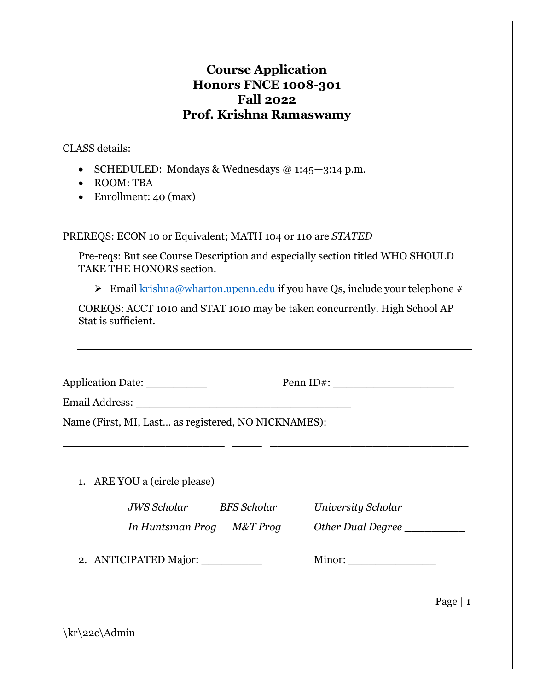## **Course Application Honors FNCE 1008-301 Fall 2022 Prof. Krishna Ramaswamy**

CLASS details:

- SCHEDULED: Mondays & Wednesdays  $@ 1:45-3:14 \text{ p.m.}$
- ROOM: TBA
- Enrollment: 40 (max)

PREREQS: ECON 10 or Equivalent; MATH 104 or 110 are *STATED*

Pre-reqs: But see Course Description and especially section titled WHO SHOULD TAKE THE HONORS section.

► Email [krishna@wharton.upenn.edu](mailto:krishna@wharton.upenn.edu) if you have Qs, include your telephone #

COREQS: ACCT 1010 and STAT 1010 may be taken concurrently. High School AP Stat is sufficient.

| Application Date: ___________<br>Penn ID#:          |  |                           |      |
|-----------------------------------------------------|--|---------------------------|------|
|                                                     |  |                           |      |
| Name (First, MI, Last as registered, NO NICKNAMES): |  |                           |      |
|                                                     |  |                           |      |
| 1. ARE YOU a (circle please)                        |  |                           |      |
| JWS Scholar BFS Scholar                             |  | <b>University Scholar</b> |      |
| In Huntsman Prog M&T Prog                           |  | Other Dual Degree         |      |
| 2. ANTICIPATED Major:                               |  | Minor: $\qquad \qquad$    |      |
|                                                     |  |                           | Page |

\kr\22c\Admin